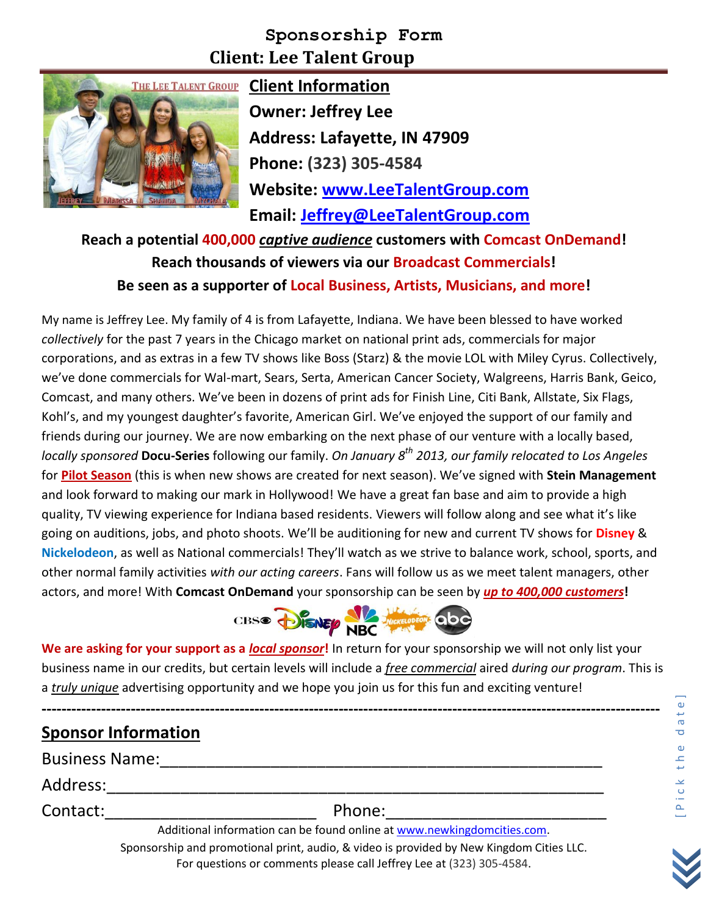## **Sponsorship Form Client: Lee Talent Group**



**THE LEE TALENT GROUP Client Information Owner: Jeffrey Lee Address: Lafayette, IN 47909 Phone: (323) 305-4584 Website: [www.LeeTalentGroup.com](http://www.leetalentgroup.com/) Email: [Jeffrey@LeeTalentGroup.com](mailto:Jeffrey@LeeTalentGroup.com)**

**Reach a potential 400,000** *captive audience* **customers with Comcast OnDemand! Reach thousands of viewers via our Broadcast Commercials! Be seen as a supporter of Local Business, Artists, Musicians, and more!**

My name is Jeffrey Lee. My family of 4 is from Lafayette, Indiana. We have been blessed to have worked *collectively* for the past 7 years in the Chicago market on national print ads, commercials for major corporations, and as extras in a few TV shows like Boss (Starz) & the movie LOL with Miley Cyrus. Collectively, we've done commercials for Wal-mart, Sears, Serta, American Cancer Society, Walgreens, Harris Bank, Geico, Comcast, and many others. We've been in dozens of print ads for Finish Line, Citi Bank, Allstate, Six Flags, Kohl's, and my youngest daughter's favorite, American Girl. We've enjoyed the support of our family and friends during our journey. We are now embarking on the next phase of our venture with a locally based, *locally sponsored* **Docu-Series** following our family. *On January 8th 2013, our family relocated to Los Angeles* for **Pilot Season** (this is when new shows are created for next season). We've signed with **Stein Management** and look forward to making our mark in Hollywood! We have a great fan base and aim to provide a high quality, TV viewing experience for Indiana based residents. Viewers will follow along and see what it's like going on auditions, jobs, and photo shoots. We'll be auditioning for new and current TV shows for **Disney** & **Nickelodeon**, as well as National commercials! They'll watch as we strive to balance work, school, sports, and other normal family activities *with our acting careers*. Fans will follow us as we meet talent managers, other actors, and more! With **Comcast OnDemand** your sponsorship can be seen by *up to 400,000 customers***!**



**We are asking for your support as a** *local sponsor***!** In return for your sponsorship we will not only list your business name in our credits, but certain levels will include a *free commercial* aired *during our program*. This is a *truly unique* advertising opportunity and we hope you join us for this fun and exciting venture!

**-----------------------------------------------------------------------------------------------------------------------------**

# **Sponsor Information**

Business Name:\_\_\_\_\_\_\_\_\_\_\_\_\_\_\_\_\_\_\_\_\_\_\_\_\_\_\_\_\_\_\_\_\_\_\_\_\_\_\_\_\_\_\_\_\_\_\_\_

Address:\_\_\_\_\_\_\_\_\_\_\_\_\_\_\_\_\_\_\_\_\_\_\_\_\_\_\_\_\_\_\_\_\_\_\_\_\_\_\_\_\_\_\_\_\_\_\_\_\_\_\_\_\_\_

Contact:\_\_\_\_\_\_\_\_\_\_\_\_\_\_\_\_\_\_\_\_\_\_\_ Phone:\_\_\_\_\_\_\_\_\_\_\_\_\_\_\_\_\_\_\_\_\_\_\_\_

Additional information can be found online at www.newkingdomcities.com. Sponsorship and promotional print, audio, & video is provided by New Kingdom Cities LLC. For questions or comments please call Jeffrey Lee at (323) 305-4584.